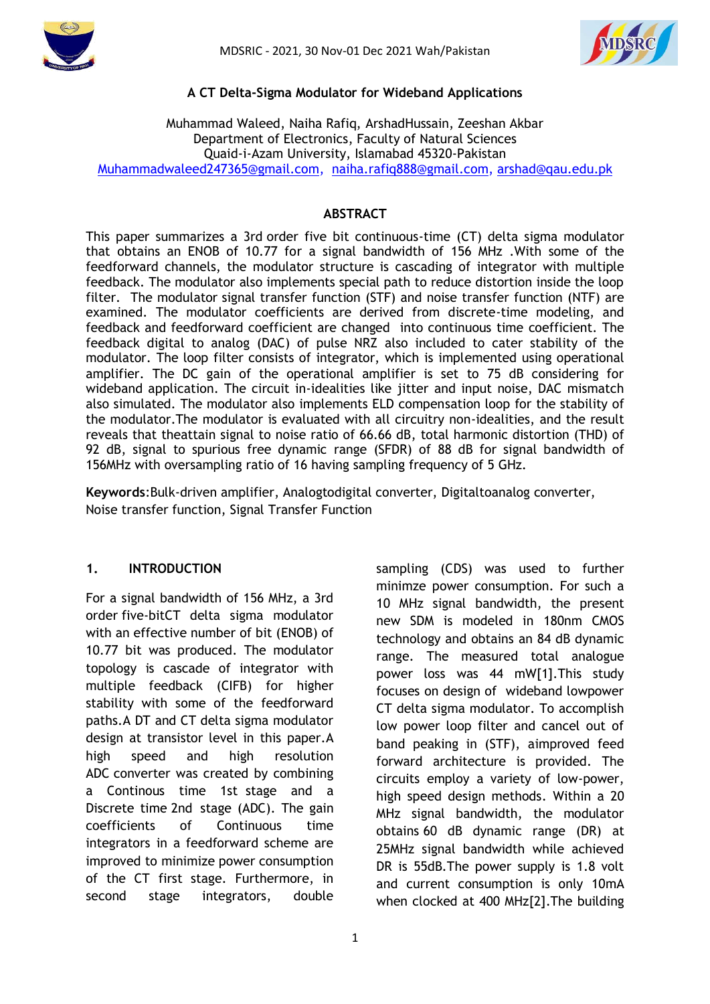



### **A CT Delta-Sigma Modulator for Wideband Applications**

### Muhammad Waleed, Naiha Rafiq, ArshadHussain, Zeeshan Akbar Department of Electronics, Faculty of Natural Sciences Quaid-i-Azam University, Islamabad 45320-Pakistan [Muhammadwaleed247365@gmail.com,](mailto:Muhammadwaleed247365@gmail.com) [naiha.rafiq888@gmail.com,](mailto:naiha.rafiq888@gmail.com) [arshad@qau.edu.pk](mailto:arshad@qau.edu.pk)

### **ABSTRACT**

This paper summarizes a 3rd order five bit continuous-time (CT) delta sigma modulator that obtains an ENOB of 10.77 for a signal bandwidth of 156 MHz .With some of the feedforward channels, the modulator structure is cascading of integrator with multiple feedback. The modulator also implements special path to reduce distortion inside the loop filter. The modulator signal transfer function (STF) and noise transfer function (NTF) are examined. The modulator coefficients are derived from discrete-time modeling, and feedback and feedforward coefficient are changed into continuous time coefficient. The feedback digital to analog (DAC) of pulse NRZ also included to cater stability of the modulator. The loop filter consists of integrator, which is implemented using operational amplifier. The DC gain of the operational amplifier is set to 75 dB considering for wideband application. The circuit in-idealities like jitter and input noise, DAC mismatch also simulated. The modulator also implements ELD compensation loop for the stability of the modulator.The modulator is evaluated with all circuitry non-idealities, and the result reveals that theattain signal to noise ratio of 66.66 dB, total harmonic distortion (THD) of 92 dB, signal to spurious free dynamic range (SFDR) of 88 dB for signal bandwidth of 156MHz with oversampling ratio of 16 having sampling frequency of 5 GHz.

**Keywords**:Bulk-driven amplifier, Analogtodigital converter, Digitaltoanalog converter, Noise transfer function, Signal Transfer Function

#### **1. INTRODUCTION**

For a signal bandwidth of 156 MHz, a 3rd order five-bitCT delta sigma modulator with an effective number of bit (ENOB) of 10.77 bit was produced. The modulator topology is cascade of integrator with multiple feedback (CIFB) for higher stability with some of the feedforward paths.A DT and CT delta sigma modulator design at transistor level in this paper.A high speed and high resolution ADC converter was created by combining a Continous time 1st stage and a Discrete time 2nd stage (ADC). The gain coefficients of Continuous time integrators in a feedforward scheme are improved to minimize power consumption of the CT first stage. Furthermore, in second stage integrators, double minimze power consumption. For such a 10 MHz signal bandwidth, the present new SDM is modeled in 180nm CMOS technology and obtains an 84 dB dynamic range. The measured total analogue power loss was 44 mW[1].This study focuses on design of wideband lowpower CT delta sigma modulator. To accomplish low power loop filter and cancel out of band peaking in (STF), aimproved feed forward architecture is provided. The circuits employ a variety of low-power, high speed design methods. Within a 20 MHz signal bandwidth, the modulator obtains 60 dB dynamic range (DR) at 25MHz signal bandwidth while achieved DR is 55dB.The power supply is 1.8 volt and current consumption is only 10mA when clocked at 400 MHz[2].The building

sampling (CDS) was used to further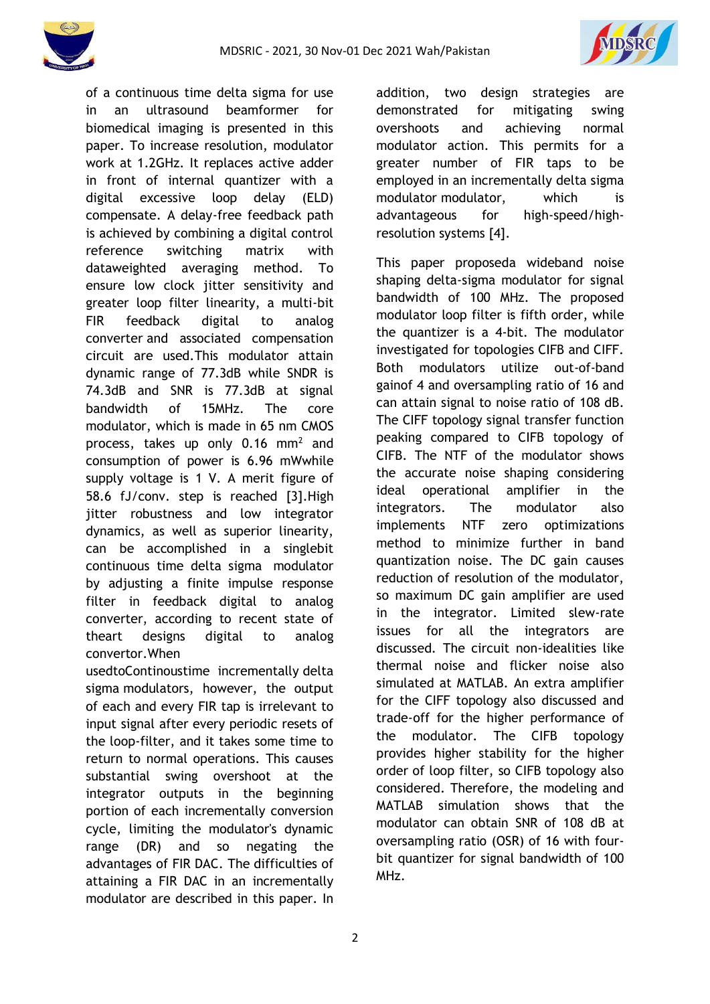



of a continuous time delta sigma for use in an ultrasound beamformer for biomedical imaging is presented in this paper. To increase resolution, modulator work at 1.2GHz. It replaces active adder in front of internal quantizer with a digital excessive loop delay (ELD) compensate. A delay-free feedback path is achieved by combining a digital control reference switching matrix with dataweighted averaging method. To ensure low clock jitter sensitivity and greater loop filter linearity, a multi-bit FIR feedback digital to analog converter and associated compensation circuit are used.This modulator attain dynamic range of 77.3dB while SNDR is 74.3dB and SNR is 77.3dB at signal bandwidth of 15MHz. The core modulator, which is made in 65 nm CMOS process, takes up only  $0.16$  mm<sup>2</sup> and consumption of power is 6.96 mWwhile supply voltage is 1 V. A merit figure of 58.6 fJ/conv. step is reached [3].High jitter robustness and low integrator dynamics, as well as superior linearity, can be accomplished in a singlebit continuous time delta sigma modulator by adjusting a finite impulse response filter in feedback digital to analog converter, according to recent state of theart designs digital to analog convertor.When

usedtoContinoustime incrementally delta sigma modulators, however, the output of each and every FIR tap is irrelevant to input signal after every periodic resets of the loop-filter, and it takes some time to return to normal operations. This causes substantial swing overshoot at the integrator outputs in the beginning portion of each incrementally conversion cycle, limiting the modulator's dynamic range (DR) and so negating the advantages of FIR DAC. The difficulties of attaining a FIR DAC in an incrementally modulator are described in this paper. In addition, two design strategies are demonstrated for mitigating swing overshoots and achieving normal modulator action. This permits for a greater number of FIR taps to be employed in an incrementally delta sigma modulator modulator, which is advantageous for high-speed/highresolution systems [4].

This paper proposeda wideband noise shaping delta-sigma modulator for signal bandwidth of 100 MHz. The proposed modulator loop filter is fifth order, while the quantizer is a 4-bit. The modulator investigated for topologies CIFB and CIFF. Both modulators utilize out-of-band gainof 4 and oversampling ratio of 16 and can attain signal to noise ratio of 108 dB. The CIFF topology signal transfer function peaking compared to CIFB topology of CIFB. The NTF of the modulator shows the accurate noise shaping considering ideal operational amplifier in the integrators. The modulator also implements NTF zero optimizations method to minimize further in band quantization noise. The DC gain causes reduction of resolution of the modulator, so maximum DC gain amplifier are used in the integrator. Limited slew-rate issues for all the integrators are discussed. The circuit non-idealities like thermal noise and flicker noise also simulated at MATLAB. An extra amplifier for the CIFF topology also discussed and trade-off for the higher performance of the modulator. The CIFB topology provides higher stability for the higher order of loop filter, so CIFB topology also considered. Therefore, the modeling and MATLAB simulation shows that the modulator can obtain SNR of 108 dB at oversampling ratio (OSR) of 16 with fourbit quantizer for signal bandwidth of 100 MHz.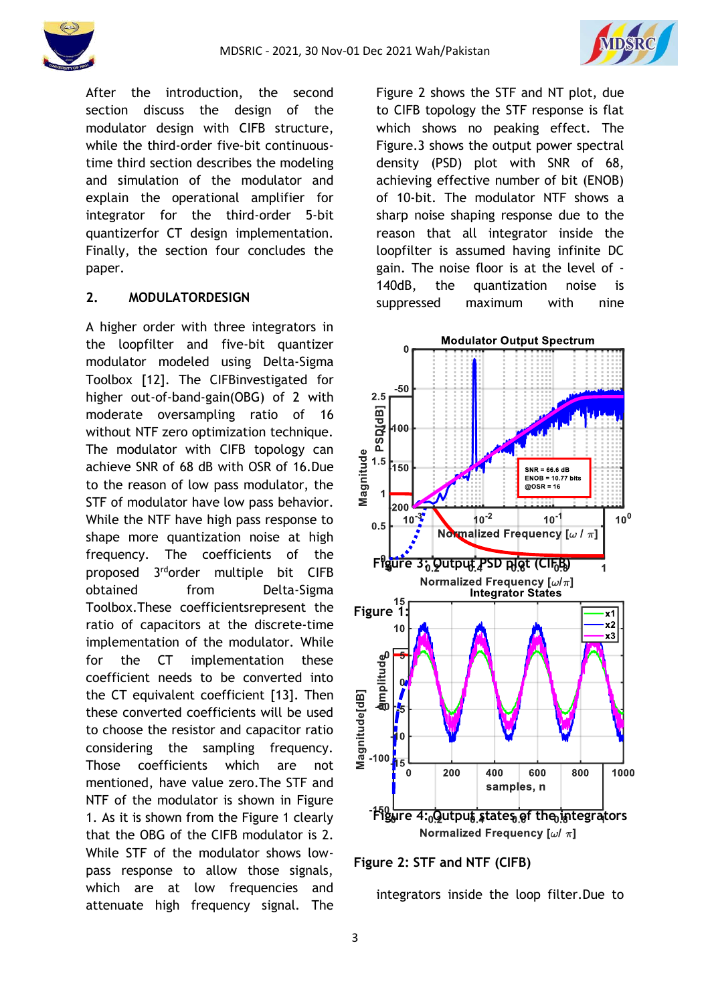



After the introduction, the second section discuss the design of the modulator design with CIFB structure, while the third-order five-bit continuoustime third section describes the modeling and simulation of the modulator and explain the operational amplifier for integrator for the third-order 5-bit quantizerfor CT design implementation. Finally, the section four concludes the paper.

### **2. MODULATORDESIGN**

A higher order with three integrators in the loopfilter and five-bit quantizer modulator modeled using Delta-Sigma Toolbox [12]. The CIFBinvestigated for higher out-of-band-gain(OBG) of 2 with moderate oversampling ratio of 16 without NTF zero optimization technique. The modulator with CIFB topology can achieve SNR of 68 dB with OSR of 16.Due to the reason of low pass modulator, the STF of modulator have low pass behavior. While the NTF have high pass response to shape more quantization noise at high frequency. The coefficients of the proposed 3 rdorder multiple bit CIFB obtained from Delta-Sigma Toolbox.These coefficientsrepresent the ratio of capacitors at the discrete-time implementation of the modulator. While for the CT implementation these coefficient needs to be converted into the CT equivalent coefficient [13]. Then these converted coefficients will be used to choose the resistor and capacitor ratio considering the sampling frequency. Those coefficients which are not mentioned, have value zero.The STF and NTF of the modulator is shown in Figure 1. As it is shown from the Figure 1 clearly that the OBG of the CIFB modulator is 2. While STF of the modulator shows lowpass response to allow those signals, which are at low frequencies and attenuate high frequency signal. The

Figure 2 shows the STF and NT plot, due to CIFB topology the STF response is flat which shows no peaking effect. The Figure.3 shows the output power spectral density (PSD) plot with SNR of 68, achieving effective number of bit (ENOB) of 10-bit. The modulator NTF shows a sharp noise shaping response due to the reason that all integrator inside the loopfilter is assumed having infinite DC gain. The noise floor is at the level of - 140dB, the quantization noise is suppressed maximum with nine



**Figure 2: STF and NTF (CIFB)**

integrators inside the loop filter.Due to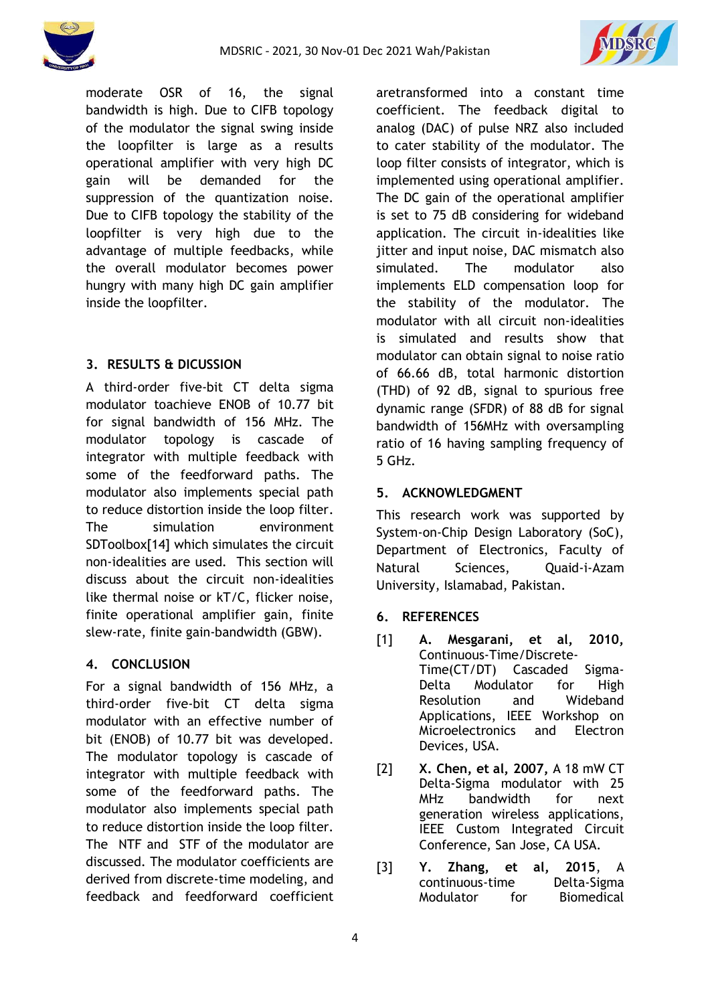



moderate OSR of 16, the signal bandwidth is high. Due to CIFB topology of the modulator the signal swing inside the loopfilter is large as a results operational amplifier with very high DC gain will be demanded for the suppression of the quantization noise. Due to CIFB topology the stability of the loopfilter is very high due to the advantage of multiple feedbacks, while the overall modulator becomes power hungry with many high DC gain amplifier inside the loopfilter.

# **3. RESULTS & DICUSSION**

A third-order five-bit CT delta sigma modulator toachieve ENOB of 10.77 bit for signal bandwidth of 156 MHz. The modulator topology is cascade of integrator with multiple feedback with some of the feedforward paths. The modulator also implements special path to reduce distortion inside the loop filter. The simulation environment SDToolbox[14] which simulates the circuit non-idealities are used. This section will discuss about the circuit non-idealities like thermal noise or kT/C, flicker noise, finite operational amplifier gain, finite slew-rate, finite gain-bandwidth (GBW).

## **4. CONCLUSION**

For a signal bandwidth of 156 MHz, a third-order five-bit CT delta sigma modulator with an effective number of bit (ENOB) of 10.77 bit was developed. The modulator topology is cascade of integrator with multiple feedback with some of the feedforward paths. The modulator also implements special path to reduce distortion inside the loop filter. The NTF and STF of the modulator are discussed. The modulator coefficients are derived from discrete-time modeling, and feedback and feedforward coefficient aretransformed into a constant time coefficient. The feedback digital to analog (DAC) of pulse NRZ also included to cater stability of the modulator. The loop filter consists of integrator, which is implemented using operational amplifier. The DC gain of the operational amplifier is set to 75 dB considering for wideband application. The circuit in-idealities like jitter and input noise, DAC mismatch also simulated. The modulator also implements ELD compensation loop for the stability of the modulator. The modulator with all circuit non-idealities is simulated and results show that modulator can obtain signal to noise ratio of 66.66 dB, total harmonic distortion (THD) of 92 dB, signal to spurious free dynamic range (SFDR) of 88 dB for signal bandwidth of 156MHz with oversampling ratio of 16 having sampling frequency of 5 GHz.

# **5. ACKNOWLEDGMENT**

This research work was supported by System-on-Chip Design Laboratory (SoC), Department of Electronics, Faculty of Natural Sciences, Quaid-i-Azam University, Islamabad, Pakistan.

- **6. REFERENCES**
- [1] **A. Mesgarani, et al, 2010,** Continuous-Time/Discrete-Time(CT/DT) Cascaded Sigma-Delta Modulator for High Resolution and Wideband Applications, IEEE Workshop on Microelectronics and Electron Devices, USA.
- [2] **X. Chen, et al, 2007,** A 18 mW CT Delta-Sigma modulator with 25 MHz bandwidth for next generation wireless applications, IEEE Custom Integrated Circuit Conference, San Jose, CA USA.
- [3] **Y. Zhang, et al, 2015**, A continuous-time Delta-Sigma Modulator for Biomedical